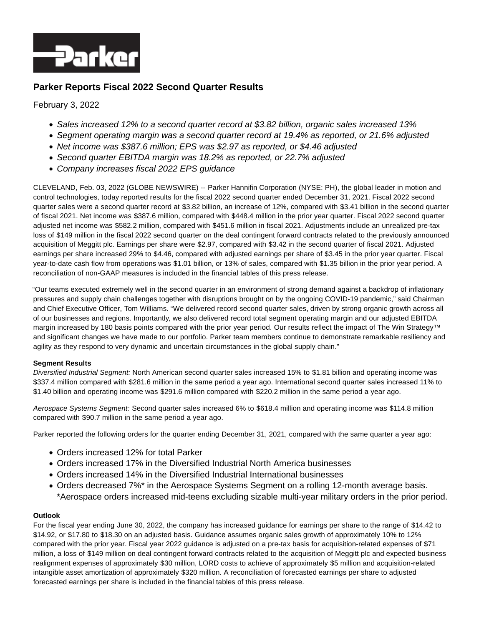

# **Parker Reports Fiscal 2022 Second Quarter Results**

February 3, 2022

- Sales increased 12% to a second quarter record at \$3.82 billion, organic sales increased 13%
- Segment operating margin was a second quarter record at 19.4% as reported, or 21.6% adjusted
- Net income was \$387.6 million; EPS was \$2.97 as reported, or \$4.46 adjusted
- Second quarter EBITDA margin was 18.2% as reported, or 22.7% adjusted
- Company increases fiscal 2022 EPS quidance

CLEVELAND, Feb. 03, 2022 (GLOBE NEWSWIRE) -- Parker Hannifin Corporation (NYSE: PH), the global leader in motion and control technologies, today reported results for the fiscal 2022 second quarter ended December 31, 2021. Fiscal 2022 second quarter sales were a second quarter record at \$3.82 billion, an increase of 12%, compared with \$3.41 billion in the second quarter of fiscal 2021. Net income was \$387.6 million, compared with \$448.4 million in the prior year quarter. Fiscal 2022 second quarter adjusted net income was \$582.2 million, compared with \$451.6 million in fiscal 2021. Adjustments include an unrealized pre-tax loss of \$149 million in the fiscal 2022 second quarter on the deal contingent forward contracts related to the previously announced acquisition of Meggitt plc. Earnings per share were \$2.97, compared with \$3.42 in the second quarter of fiscal 2021. Adjusted earnings per share increased 29% to \$4.46, compared with adjusted earnings per share of \$3.45 in the prior year quarter. Fiscal year-to-date cash flow from operations was \$1.01 billion, or 13% of sales, compared with \$1.35 billion in the prior year period. A reconciliation of non-GAAP measures is included in the financial tables of this press release.

"Our teams executed extremely well in the second quarter in an environment of strong demand against a backdrop of inflationary pressures and supply chain challenges together with disruptions brought on by the ongoing COVID-19 pandemic," said Chairman and Chief Executive Officer, Tom Williams. "We delivered record second quarter sales, driven by strong organic growth across all of our businesses and regions. Importantly, we also delivered record total segment operating margin and our adjusted EBITDA margin increased by 180 basis points compared with the prior year period. Our results reflect the impact of The Win Strategy™ and significant changes we have made to our portfolio. Parker team members continue to demonstrate remarkable resiliency and agility as they respond to very dynamic and uncertain circumstances in the global supply chain."

### **Segment Results**

Diversified Industrial Segment: North American second quarter sales increased 15% to \$1.81 billion and operating income was \$337.4 million compared with \$281.6 million in the same period a year ago. International second quarter sales increased 11% to \$1.40 billion and operating income was \$291.6 million compared with \$220.2 million in the same period a year ago.

Aerospace Systems Segment: Second quarter sales increased 6% to \$618.4 million and operating income was \$114.8 million compared with \$90.7 million in the same period a year ago.

Parker reported the following orders for the quarter ending December 31, 2021, compared with the same quarter a year ago:

- Orders increased 12% for total Parker
- Orders increased 17% in the Diversified Industrial North America businesses
- Orders increased 14% in the Diversified Industrial International businesses
- Orders decreased 7%\* in the Aerospace Systems Segment on a rolling 12-month average basis. \*Aerospace orders increased mid-teens excluding sizable multi-year military orders in the prior period.

### **Outlook**

For the fiscal year ending June 30, 2022, the company has increased guidance for earnings per share to the range of \$14.42 to \$14.92, or \$17.80 to \$18.30 on an adjusted basis. Guidance assumes organic sales growth of approximately 10% to 12% compared with the prior year. Fiscal year 2022 guidance is adjusted on a pre-tax basis for acquisition-related expenses of \$71 million, a loss of \$149 million on deal contingent forward contracts related to the acquisition of Meggitt plc and expected business realignment expenses of approximately \$30 million, LORD costs to achieve of approximately \$5 million and acquisition-related intangible asset amortization of approximately \$320 million. A reconciliation of forecasted earnings per share to adjusted forecasted earnings per share is included in the financial tables of this press release.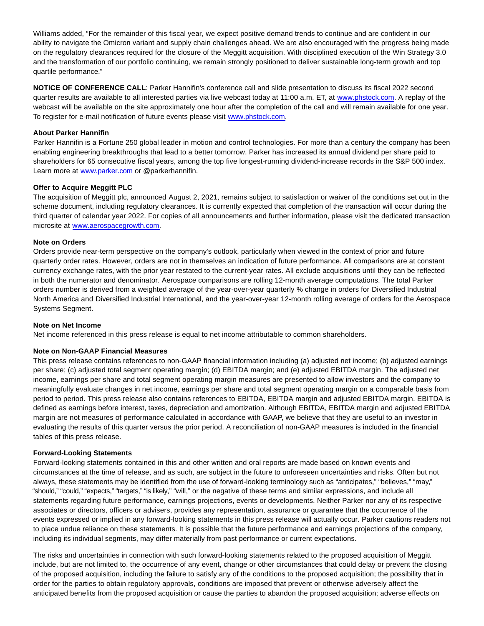Williams added, "For the remainder of this fiscal year, we expect positive demand trends to continue and are confident in our ability to navigate the Omicron variant and supply chain challenges ahead. We are also encouraged with the progress being made on the regulatory clearances required for the closure of the Meggitt acquisition. With disciplined execution of the Win Strategy 3.0 and the transformation of our portfolio continuing, we remain strongly positioned to deliver sustainable long-term growth and top quartile performance."

**NOTICE OF CONFERENCE CALL**: Parker Hannifin's conference call and slide presentation to discuss its fiscal 2022 second quarter results are available to all interested parties via live webcast today at 11:00 a.m. ET, at [www.phstock.com.](http://www.phstock.com/) A replay of the webcast will be available on the site approximately one hour after the completion of the call and will remain available for one year. To register for e-mail notification of future events please visit [www.phstock.com.](http://www.phstock.com/)

### **About Parker Hannifin**

Parker Hannifin is a Fortune 250 global leader in motion and control technologies. For more than a century the company has been enabling engineering breakthroughs that lead to a better tomorrow. Parker has increased its annual dividend per share paid to shareholders for 65 consecutive fiscal years, among the top five longest-running dividend-increase records in the S&P 500 index. Learn more at [www.parker.com o](http://www.parker.com/)r @parkerhannifin.

#### **Offer to Acquire Meggitt PLC**

The acquisition of Meggitt plc, announced August 2, 2021, remains subject to satisfaction or waiver of the conditions set out in the scheme document, including regulatory clearances. It is currently expected that completion of the transaction will occur during the third quarter of calendar year 2022. For copies of all announcements and further information, please visit the dedicated transaction microsite at [www.aerospacegrowth.com.](http://www.aerospacegrowth.com/)

#### **Note on Orders**

Orders provide near-term perspective on the company's outlook, particularly when viewed in the context of prior and future quarterly order rates. However, orders are not in themselves an indication of future performance. All comparisons are at constant currency exchange rates, with the prior year restated to the current-year rates. All exclude acquisitions until they can be reflected in both the numerator and denominator. Aerospace comparisons are rolling 12-month average computations. The total Parker orders number is derived from a weighted average of the year-over-year quarterly % change in orders for Diversified Industrial North America and Diversified Industrial International, and the year-over-year 12-month rolling average of orders for the Aerospace Systems Segment.

#### **Note on Net Income**

Net income referenced in this press release is equal to net income attributable to common shareholders.

#### **Note on Non-GAAP Financial Measures**

This press release contains references to non-GAAP financial information including (a) adjusted net income; (b) adjusted earnings per share; (c) adjusted total segment operating margin; (d) EBITDA margin; and (e) adjusted EBITDA margin. The adjusted net income, earnings per share and total segment operating margin measures are presented to allow investors and the company to meaningfully evaluate changes in net income, earnings per share and total segment operating margin on a comparable basis from period to period. This press release also contains references to EBITDA, EBITDA margin and adjusted EBITDA margin. EBITDA is defined as earnings before interest, taxes, depreciation and amortization. Although EBITDA, EBITDA margin and adjusted EBITDA margin are not measures of performance calculated in accordance with GAAP, we believe that they are useful to an investor in evaluating the results of this quarter versus the prior period. A reconciliation of non-GAAP measures is included in the financial tables of this press release.

#### **Forward-Looking Statements**

Forward-looking statements contained in this and other written and oral reports are made based on known events and circumstances at the time of release, and as such, are subject in the future to unforeseen uncertainties and risks. Often but not always, these statements may be identified from the use of forward-looking terminology such as "anticipates," "believes," "may," "should," "could," "expects," "targets," "is likely," "will," or the negative of these terms and similar expressions, and include all statements regarding future performance, earnings projections, events or developments. Neither Parker nor any of its respective associates or directors, officers or advisers, provides any representation, assurance or guarantee that the occurrence of the events expressed or implied in any forward-looking statements in this press release will actually occur. Parker cautions readers not to place undue reliance on these statements. It is possible that the future performance and earnings projections of the company, including its individual segments, may differ materially from past performance or current expectations.

The risks and uncertainties in connection with such forward-looking statements related to the proposed acquisition of Meggitt include, but are not limited to, the occurrence of any event, change or other circumstances that could delay or prevent the closing of the proposed acquisition, including the failure to satisfy any of the conditions to the proposed acquisition; the possibility that in order for the parties to obtain regulatory approvals, conditions are imposed that prevent or otherwise adversely affect the anticipated benefits from the proposed acquisition or cause the parties to abandon the proposed acquisition; adverse effects on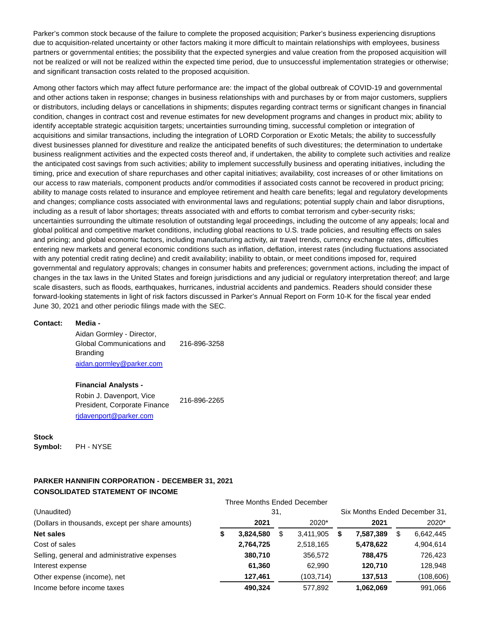Parker's common stock because of the failure to complete the proposed acquisition; Parker's business experiencing disruptions due to acquisition-related uncertainty or other factors making it more difficult to maintain relationships with employees, business partners or governmental entities; the possibility that the expected synergies and value creation from the proposed acquisition will not be realized or will not be realized within the expected time period, due to unsuccessful implementation strategies or otherwise; and significant transaction costs related to the proposed acquisition.

Among other factors which may affect future performance are: the impact of the global outbreak of COVID-19 and governmental and other actions taken in response; changes in business relationships with and purchases by or from major customers, suppliers or distributors, including delays or cancellations in shipments; disputes regarding contract terms or significant changes in financial condition, changes in contract cost and revenue estimates for new development programs and changes in product mix; ability to identify acceptable strategic acquisition targets; uncertainties surrounding timing, successful completion or integration of acquisitions and similar transactions, including the integration of LORD Corporation or Exotic Metals; the ability to successfully divest businesses planned for divestiture and realize the anticipated benefits of such divestitures; the determination to undertake business realignment activities and the expected costs thereof and, if undertaken, the ability to complete such activities and realize the anticipated cost savings from such activities; ability to implement successfully business and operating initiatives, including the timing, price and execution of share repurchases and other capital initiatives; availability, cost increases of or other limitations on our access to raw materials, component products and/or commodities if associated costs cannot be recovered in product pricing; ability to manage costs related to insurance and employee retirement and health care benefits; legal and regulatory developments and changes; compliance costs associated with environmental laws and regulations; potential supply chain and labor disruptions, including as a result of labor shortages; threats associated with and efforts to combat terrorism and cyber-security risks; uncertainties surrounding the ultimate resolution of outstanding legal proceedings, including the outcome of any appeals; local and global political and competitive market conditions, including global reactions to U.S. trade policies, and resulting effects on sales and pricing; and global economic factors, including manufacturing activity, air travel trends, currency exchange rates, difficulties entering new markets and general economic conditions such as inflation, deflation, interest rates (including fluctuations associated with any potential credit rating decline) and credit availability; inability to obtain, or meet conditions imposed for, required governmental and regulatory approvals; changes in consumer habits and preferences; government actions, including the impact of changes in the tax laws in the United States and foreign jurisdictions and any judicial or regulatory interpretation thereof; and large scale disasters, such as floods, earthquakes, hurricanes, industrial accidents and pandemics. Readers should consider these forward-looking statements in light of risk factors discussed in Parker's Annual Report on Form 10-K for the fiscal year ended June 30, 2021 and other periodic filings made with the SEC.

#### **Contact: Media -**

Aidan Gormley - Director, Global Communications and Branding 216-896-3258 [aidan.gormley@parker.com](mailto:aidan.gormley@parker.com)

#### **Financial Analysts -**

Robin J. Davenport, Vice President, Corporate Finance 216-896-2265 [rjdavenport@parker.com](mailto:rjdavenport@parker.com)

# **Stock**

**Symbol:** PH - NYSE

### **PARKER HANNIFIN CORPORATION - DECEMBER 31, 2021 CONSOLIDATED STATEMENT OF INCOME**

| (Unaudited)                                      | Six Months Ended December 31,<br>31. |           |  |           |  |           |  |            |
|--------------------------------------------------|--------------------------------------|-----------|--|-----------|--|-----------|--|------------|
| (Dollars in thousands, except per share amounts) |                                      | 2021      |  | 2020*     |  | 2021      |  | 2020*      |
| <b>Net sales</b>                                 |                                      | 3.824.580 |  | 3.411.905 |  | 7.587.389 |  | 6,642,445  |
| Cost of sales                                    |                                      | 2,764,725 |  | 2,518,165 |  | 5,478,622 |  | 4,904,614  |
| Selling, general and administrative expenses     |                                      | 380,710   |  | 356,572   |  | 788.475   |  | 726,423    |
| Interest expense                                 |                                      | 61.360    |  | 62.990    |  | 120.710   |  | 128,948    |
| Other expense (income), net                      |                                      | 127.461   |  | (103,714) |  | 137,513   |  | (108, 606) |
| Income before income taxes                       |                                      | 490,324   |  | 577.892   |  | 1,062,069 |  | 991,066    |

Three Months Ended December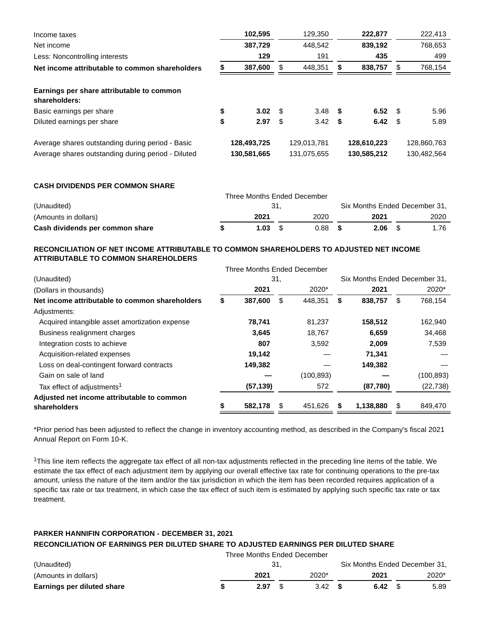| Income taxes                                                                                           | 102,595                    |      | 129,350                    | 222,877                    |      | 222,413                    |
|--------------------------------------------------------------------------------------------------------|----------------------------|------|----------------------------|----------------------------|------|----------------------------|
| Net income                                                                                             | 387,729                    |      | 448,542                    | 839,192                    |      | 768,653                    |
| Less: Noncontrolling interests                                                                         | 129                        |      | 191                        | 435                        |      | 499                        |
| Net income attributable to common shareholders                                                         | 387,600                    | S    | 448,351                    | 838,757                    | S    | 768,154                    |
| Earnings per share attributable to common<br>shareholders:                                             |                            |      |                            |                            |      |                            |
| Basic earnings per share                                                                               | \$<br>3.02                 | - \$ | $3.48$ \$                  | 6.52                       | - \$ | 5.96                       |
| Diluted earnings per share                                                                             | \$<br>2.97                 | - \$ | $3.42$ \$                  | 6.42                       | - \$ | 5.89                       |
| Average shares outstanding during period - Basic<br>Average shares outstanding during period - Diluted | 128,493,725<br>130,581,665 |      | 129,013,781<br>131,075,655 | 128,610,223<br>130,585,212 |      | 128,860,763<br>130,482,564 |
|                                                                                                        |                            |      |                            |                            |      |                            |

**CASH DIVIDENDS PER COMMON SHARE**

|                                 | Three Months Ended December |  |      |  |                               |  |      |  |
|---------------------------------|-----------------------------|--|------|--|-------------------------------|--|------|--|
| (Unaudited)                     | - 31.                       |  |      |  | Six Months Ended December 31, |  |      |  |
| (Amounts in dollars)            | 2021                        |  | 2020 |  | 2021                          |  | 2020 |  |
| Cash dividends per common share | 1.03                        |  | 0.88 |  | 2.06                          |  | 1.76 |  |

### **RECONCILIATION OF NET INCOME ATTRIBUTABLE TO COMMON SHAREHOLDERS TO ADJUSTED NET INCOME ATTRIBUTABLE TO COMMON SHAREHOLDERS**

|                                                |     | Three Months Ended December |    |            |    |           |                               |            |  |
|------------------------------------------------|-----|-----------------------------|----|------------|----|-----------|-------------------------------|------------|--|
| (Unaudited)                                    | 31, |                             |    |            |    |           | Six Months Ended December 31. |            |  |
| (Dollars in thousands)                         |     | 2021                        |    | 2020*      |    | 2021      |                               | 2020*      |  |
| Net income attributable to common shareholders | \$  | 387,600                     | \$ | 448,351    | \$ | 838,757   | \$                            | 768,154    |  |
| Adjustments:                                   |     |                             |    |            |    |           |                               |            |  |
| Acquired intangible asset amortization expense |     | 78,741                      |    | 81.237     |    | 158,512   |                               | 162,940    |  |
| Business realignment charges                   |     | 3,645                       |    | 18,767     |    | 6,659     |                               | 34,468     |  |
| Integration costs to achieve                   |     | 807                         |    | 3,592      |    | 2,009     |                               | 7,539      |  |
| Acquisition-related expenses                   |     | 19,142                      |    |            |    | 71,341    |                               |            |  |
| Loss on deal-contingent forward contracts      |     | 149,382                     |    |            |    | 149,382   |                               |            |  |
| Gain on sale of land                           |     |                             |    | (100, 893) |    |           |                               | (100, 893) |  |
| Tax effect of adjustments <sup>1</sup>         |     | (57, 139)                   |    | 572        |    | (87,780)  |                               | (22, 738)  |  |
| Adjusted net income attributable to common     |     |                             |    |            |    |           |                               |            |  |
| shareholders                                   | \$  | 582,178                     | \$ | 451,626    |    | 1,138,880 | S                             | 849,470    |  |

\*Prior period has been adjusted to reflect the change in inventory accounting method, as described in the Company's fiscal 2021 Annual Report on Form 10-K.

<sup>1</sup>This line item reflects the aggregate tax effect of all non-tax adjustments reflected in the preceding line items of the table. We estimate the tax effect of each adjustment item by applying our overall effective tax rate for continuing operations to the pre-tax amount, unless the nature of the item and/or the tax jurisdiction in which the item has been recorded requires application of a specific tax rate or tax treatment, in which case the tax effect of such item is estimated by applying such specific tax rate or tax treatment.

# **PARKER HANNIFIN CORPORATION - DECEMBER 31, 2021 RECONCILIATION OF EARNINGS PER DILUTED SHARE TO ADJUSTED EARNINGS PER DILUTED SHARE**

|                            | Three Months Ended December |                 |      |                               |
|----------------------------|-----------------------------|-----------------|------|-------------------------------|
| (Unaudited)                |                             |                 |      | Six Months Ended December 31. |
| (Amounts in dollars)       | 2021                        | $2020*$         | 2021 | $2020*$                       |
| Earnings per diluted share | 2.97                        | $3.42 \quad$ \$ | 6.42 | 5.89                          |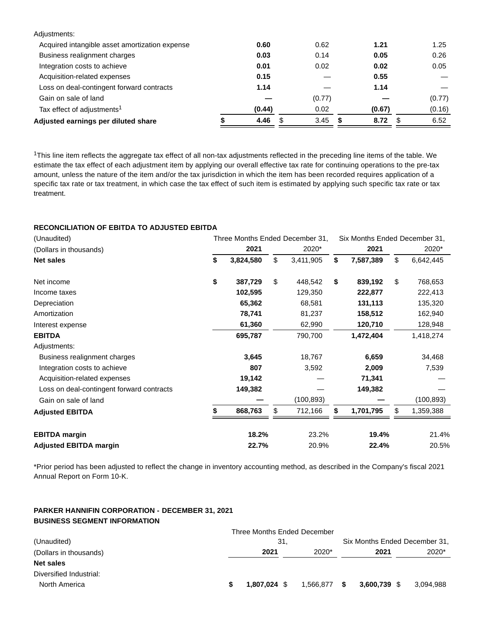| Adjustments:                                   |        |            |        |            |
|------------------------------------------------|--------|------------|--------|------------|
| Acquired intangible asset amortization expense | 0.60   | 0.62       | 1.21   | 1.25       |
| Business realignment charges                   | 0.03   | 0.14       | 0.05   | 0.26       |
| Integration costs to achieve                   | 0.01   | 0.02       | 0.02   | 0.05       |
| Acquisition-related expenses                   | 0.15   |            | 0.55   |            |
| Loss on deal-contingent forward contracts      | 1.14   |            | 1.14   |            |
| Gain on sale of land                           |        | (0.77)     |        | (0.77)     |
| Tax effect of adjustments <sup>1</sup>         | (0.44) | 0.02       | (0.67) | (0.16)     |
| Adjusted earnings per diluted share            | 4.46   | \$<br>3.45 | 8.72   | \$<br>6.52 |
|                                                |        |            |        |            |

<sup>1</sup>This line item reflects the aggregate tax effect of all non-tax adjustments reflected in the preceding line items of the table. We estimate the tax effect of each adjustment item by applying our overall effective tax rate for continuing operations to the pre-tax amount, unless the nature of the item and/or the tax jurisdiction in which the item has been recorded requires application of a specific tax rate or tax treatment, in which case the tax effect of such item is estimated by applying such specific tax rate or tax treatment.

### **RECONCILIATION OF EBITDA TO ADJUSTED EBITDA**

| (Unaudited)                               |                 | Three Months Ended December 31, | Six Months Ended December 31, |                 |    |           |
|-------------------------------------------|-----------------|---------------------------------|-------------------------------|-----------------|----|-----------|
| (Dollars in thousands)                    | 2021            |                                 | 2020*                         | 2021            |    | 2020*     |
| <b>Net sales</b>                          | \$<br>3,824,580 | \$                              | 3,411,905                     | \$<br>7,587,389 | \$ | 6,642,445 |
| Net income                                | \$<br>387,729   | \$                              | 448,542                       | \$<br>839,192   | \$ | 768,653   |
| Income taxes                              | 102,595         |                                 | 129,350                       | 222,877         |    | 222,413   |
| Depreciation                              | 65,362          |                                 | 68,581                        | 131,113         |    | 135,320   |
| Amortization                              | 78,741          |                                 | 81,237                        | 158,512         |    | 162,940   |
| Interest expense                          | 61,360          |                                 | 62,990                        | 120,710         |    | 128,948   |
| <b>EBITDA</b>                             | 695,787         |                                 | 790,700                       | 1,472,404       |    | 1,418,274 |
| Adjustments:                              |                 |                                 |                               |                 |    |           |
| Business realignment charges              | 3,645           |                                 | 18,767                        | 6,659           |    | 34,468    |
| Integration costs to achieve              | 807             |                                 | 3,592                         | 2,009           |    | 7,539     |
| Acquisition-related expenses              | 19,142          |                                 |                               | 71,341          |    |           |
| Loss on deal-contingent forward contracts | 149,382         |                                 |                               | 149,382         |    |           |
| Gain on sale of land                      |                 |                                 | (100,893)                     |                 |    | (100,893) |
| <b>Adjusted EBITDA</b>                    | 868,763         | \$                              | 712,166                       | \$<br>1,701,795 | \$ | 1,359,388 |
| <b>EBITDA</b> margin                      | 18.2%           |                                 | 23.2%                         | 19.4%           |    | 21.4%     |
| <b>Adjusted EBITDA margin</b>             | 22.7%           |                                 | 20.9%                         | 22.4%           |    | 20.5%     |

\*Prior period has been adjusted to reflect the change in inventory accounting method, as described in the Company's fiscal 2021 Annual Report on Form 10-K.

# **PARKER HANNIFIN CORPORATION - DECEMBER 31, 2021 BUSINESS SEGMENT INFORMATION**

|                         | Three Months Ended December |              |              |                               |
|-------------------------|-----------------------------|--------------|--------------|-------------------------------|
| (Unaudited)             | 31.                         |              |              | Six Months Ended December 31, |
| (Dollars in thousands)  | 2021                        | 2020*        | 2021         | 2020*                         |
| <b>Net sales</b>        |                             |              |              |                               |
| Diversified Industrial: |                             |              |              |                               |
| North America           | 1.807.024 \$                | 1,566,877 \$ | 3,600,739 \$ | 3.094.988                     |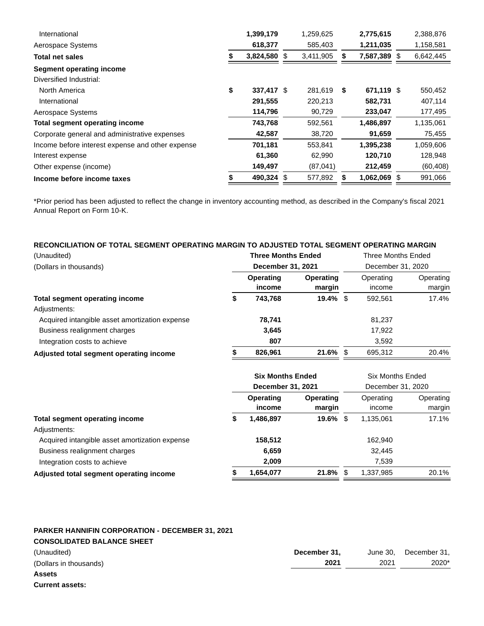| International                                    | 1,399,179        | 1,259,625       |      | 2,775,615    | 2,388,876 |
|--------------------------------------------------|------------------|-----------------|------|--------------|-----------|
| Aerospace Systems                                | 618,377          | 585,403         |      | 1,211,035    | 1,158,581 |
| Total net sales                                  | 3,824,580        | \$<br>3,411,905 | S    | 7,587,389 \$ | 6,642,445 |
| <b>Segment operating income</b>                  |                  |                 |      |              |           |
| Diversified Industrial:                          |                  |                 |      |              |           |
| North America                                    | \$<br>337,417 \$ | 281,619         | - \$ | 671,119 \$   | 550,452   |
| International                                    | 291,555          | 220,213         |      | 582,731      | 407,114   |
| Aerospace Systems                                | 114,796          | 90,729          |      | 233,047      | 177,495   |
| Total segment operating income                   | 743,768          | 592,561         |      | 1,486,897    | 1,135,061 |
| Corporate general and administrative expenses    | 42,587           | 38,720          |      | 91,659       | 75,455    |
| Income before interest expense and other expense | 701,181          | 553.841         |      | 1,395,238    | 1,059,606 |
| Interest expense                                 | 61,360           | 62,990          |      | 120,710      | 128,948   |
| Other expense (income)                           | 149,497          | (87, 041)       |      | 212,459      | (60, 408) |
| Income before income taxes                       | 490,324 \$       | 577,892         |      | 1,062,069 \$ | 991,066   |

\*Prior period has been adjusted to reflect the change in inventory accounting method, as described in the Company's fiscal 2021 Annual Report on Form 10-K.

### **RECONCILIATION OF TOTAL SEGMENT OPERATING MARGIN TO ADJUSTED TOTAL SEGMENT OPERATING MARGIN**

| (Unaudited)                                    | <b>Three Months Ended</b>  |                            | <b>Three Months Ended</b> |                     |  |  |
|------------------------------------------------|----------------------------|----------------------------|---------------------------|---------------------|--|--|
| (Dollars in thousands)                         | December 31, 2021          |                            | December 31, 2020         |                     |  |  |
|                                                | <b>Operating</b><br>income | <b>Operating</b><br>margin | Operating<br>income       | Operating<br>margin |  |  |
| <b>Total segment operating income</b>          | \$<br>743,768              | $19.4\%$ \$                | 592.561                   | 17.4%               |  |  |
| Adjustments:                                   |                            |                            |                           |                     |  |  |
| Acquired intangible asset amortization expense | 78,741                     |                            | 81,237                    |                     |  |  |
| Business realignment charges                   | 3,645                      |                            | 17,922                    |                     |  |  |
| Integration costs to achieve                   | 807                        |                            | 3,592                     |                     |  |  |
| Adjusted total segment operating income        | 826,961                    | $21.6\%$ \$                | 695,312                   | 20.4%               |  |  |
|                                                |                            |                            |                           |                     |  |  |

|                     |                            | Six Months Ended<br>December 31, 2020        |                      |                     |
|---------------------|----------------------------|----------------------------------------------|----------------------|---------------------|
| Operating<br>income | <b>Operating</b><br>margin |                                              | Operating<br>income  | Operating<br>margin |
| \$<br>1,486,897     |                            |                                              | 1,135,061            | 17.1%               |
|                     |                            |                                              |                      |                     |
| 158,512             |                            |                                              | 162,940              |                     |
| 6,659               |                            |                                              | 32.445               |                     |
| 2,009               |                            |                                              | 7,539                |                     |
| 1,654,077           |                            | - \$                                         | 1,337,985            | 20.1%               |
|                     |                            | <b>Six Months Ended</b><br>December 31, 2021 | $19.6\%$ \$<br>21.8% |                     |

### **PARKER HANNIFIN CORPORATION - DECEMBER 31, 2021 CONSOLIDATED BALANCE SHEET**

| __________________________<br>(Unaudited) | December 31, | June 30. | December 31, |
|-------------------------------------------|--------------|----------|--------------|
| (Dollars in thousands)                    | 2021         | 2021     | 2020*        |
| <b>Assets</b>                             |              |          |              |

**Current assets:**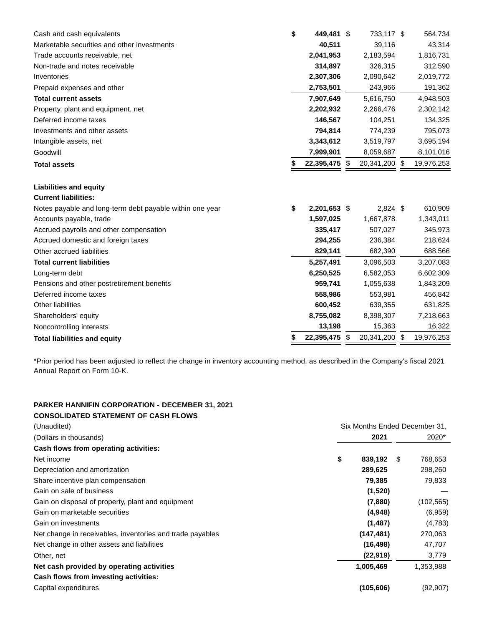| Cash and cash equivalents                                | \$<br>449,481 \$   | 733,117 \$          | 564,734    |
|----------------------------------------------------------|--------------------|---------------------|------------|
| Marketable securities and other investments              | 40,511             | 39,116              | 43,314     |
| Trade accounts receivable, net                           | 2,041,953          | 2,183,594           | 1,816,731  |
| Non-trade and notes receivable                           | 314,897            | 326,315             | 312,590    |
| Inventories                                              | 2,307,306          | 2,090,642           | 2,019,772  |
| Prepaid expenses and other                               | 2,753,501          | 243,966             | 191,362    |
| <b>Total current assets</b>                              | 7,907,649          | 5,616,750           | 4,948,503  |
| Property, plant and equipment, net                       | 2,202,932          | 2,266,476           | 2,302,142  |
| Deferred income taxes                                    | 146,567            | 104,251             | 134,325    |
| Investments and other assets                             | 794,814            | 774,239             | 795,073    |
| Intangible assets, net                                   | 3,343,612          | 3,519,797           | 3,695,194  |
| Goodwill                                                 | 7,999,901          | 8,059,687           | 8,101,016  |
| <b>Total assets</b>                                      | 22,395,475 \$      | 20,341,200 \$       | 19,976,253 |
| <b>Liabilities and equity</b>                            |                    |                     |            |
| <b>Current liabilities:</b>                              |                    |                     |            |
| Notes payable and long-term debt payable within one year | \$<br>2,201,653 \$ | $2,824$ \$          | 610,909    |
| Accounts payable, trade                                  | 1,597,025          | 1,667,878           | 1,343,011  |
| Accrued payrolls and other compensation                  | 335,417            | 507,027             | 345,973    |
| Accrued domestic and foreign taxes                       | 294,255            | 236,384             | 218,624    |
| Other accrued liabilities                                | 829,141            | 682,390             | 688,566    |
| <b>Total current liabilities</b>                         | 5,257,491          | 3,096,503           | 3,207,083  |
| Long-term debt                                           | 6,250,525          | 6,582,053           | 6,602,309  |
| Pensions and other postretirement benefits               | 959,741            | 1,055,638           | 1,843,209  |
| Deferred income taxes                                    | 558,986            | 553,981             | 456,842    |
| <b>Other liabilities</b>                                 | 600,452            | 639,355             | 631,825    |
| Shareholders' equity                                     | 8,755,082          | 8,398,307           | 7,218,663  |
| Noncontrolling interests                                 | 13,198             | 15,363              | 16,322     |
| <b>Total liabilities and equity</b>                      | \$<br>22,395,475   | \$<br>20,341,200 \$ | 19,976,253 |

\*Prior period has been adjusted to reflect the change in inventory accounting method, as described in the Company's fiscal 2021 Annual Report on Form 10-K.

#### **PARKER HANNIFIN CORPORATION - DECEMBER 31, 2021 CONSOLIDATED STATEMENT OF CASH FLOWS**

| CONSOLIDATED STATEMENT OF CASH FLOWS                      |                               |            |   |            |
|-----------------------------------------------------------|-------------------------------|------------|---|------------|
| (Unaudited)                                               | Six Months Ended December 31, |            |   |            |
| (Dollars in thousands)                                    |                               | 2021       |   | 2020*      |
| Cash flows from operating activities:                     |                               |            |   |            |
| Net income                                                | \$                            | 839,192    | S | 768,653    |
| Depreciation and amortization                             |                               | 289,625    |   | 298,260    |
| Share incentive plan compensation                         |                               | 79,385     |   | 79,833     |
| Gain on sale of business                                  |                               | (1,520)    |   |            |
| Gain on disposal of property, plant and equipment         |                               | (7,880)    |   | (102, 565) |
| Gain on marketable securities                             |                               | (4,948)    |   | (6,959)    |
| Gain on investments                                       |                               | (1, 487)   |   | (4,783)    |
| Net change in receivables, inventories and trade payables |                               | (147, 481) |   | 270,063    |
| Net change in other assets and liabilities                |                               | (16, 498)  |   | 47,707     |
| Other, net                                                |                               | (22, 919)  |   | 3,779      |
| Net cash provided by operating activities                 |                               | 1,005,469  |   | 1,353,988  |
| Cash flows from investing activities:                     |                               |            |   |            |
| Capital expenditures                                      |                               | (105, 606) |   | (92, 907)  |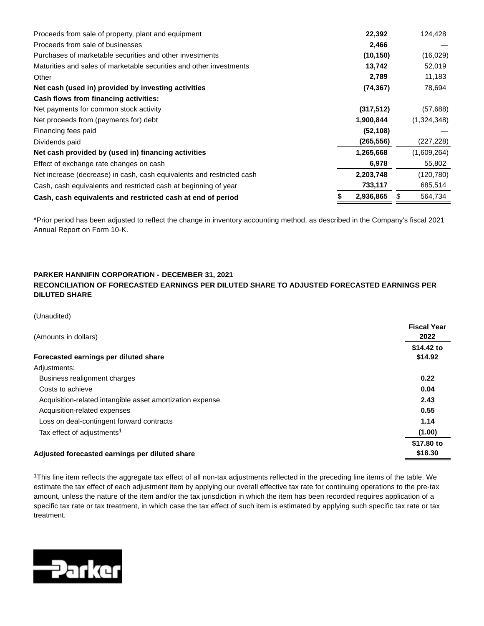| Proceeds from sale of property, plant and equipment                   | 22,392     | 124,428       |
|-----------------------------------------------------------------------|------------|---------------|
| Proceeds from sale of businesses                                      | 2,466      |               |
| Purchases of marketable securities and other investments              | (10, 150)  | (16,029)      |
| Maturities and sales of marketable securities and other investments   | 13,742     | 52,019        |
| Other                                                                 | 2,789      | 11,183        |
| Net cash (used in) provided by investing activities                   | (74, 367)  | 78,694        |
| Cash flows from financing activities:                                 |            |               |
| Net payments for common stock activity                                | (317, 512) | (57,688)      |
| Net proceeds from (payments for) debt                                 | 1,900,844  | (1,324,348)   |
| Financing fees paid                                                   | (52, 108)  |               |
| Dividends paid                                                        | (265, 556) | (227, 228)    |
| Net cash provided by (used in) financing activities                   | 1,265,668  | (1,609,264)   |
| Effect of exchange rate changes on cash                               | 6,978      | 55,802        |
| Net increase (decrease) in cash, cash equivalents and restricted cash | 2,203,748  | (120, 780)    |
| Cash, cash equivalents and restricted cash at beginning of year       | 733,117    | 685,514       |
| Cash, cash equivalents and restricted cash at end of period           | 2,936,865  | \$<br>564,734 |

\*Prior period has been adjusted to reflect the change in inventory accounting method, as described in the Company's fiscal 2021 Annual Report on Form 10-K.

## **PARKER HANNIFIN CORPORATION - DECEMBER 31, 2021**

### **RECONCILIATION OF FORECASTED EARNINGS PER DILUTED SHARE TO ADJUSTED FORECASTED EARNINGS PER DILUTED SHARE**

(Unaudited)

| (Amounts in dollars)                                      | <b>Fiscal Year</b><br>2022 |
|-----------------------------------------------------------|----------------------------|
|                                                           | \$14.42 to                 |
| Forecasted earnings per diluted share                     | \$14.92                    |
| Adjustments:                                              |                            |
| Business realignment charges                              | 0.22                       |
| Costs to achieve                                          | 0.04                       |
| Acquisition-related intangible asset amortization expense | 2.43                       |
| Acquisition-related expenses                              | 0.55                       |
| Loss on deal-contingent forward contracts                 | 1.14                       |
| Tax effect of adjustments <sup>1</sup>                    | (1.00)                     |
|                                                           | \$17.80 to                 |
| Adjusted forecasted earnings per diluted share            | \$18.30                    |
|                                                           |                            |

<sup>1</sup>This line item reflects the aggregate tax effect of all non-tax adjustments reflected in the preceding line items of the table. We estimate the tax effect of each adjustment item by applying our overall effective tax rate for continuing operations to the pre-tax amount, unless the nature of the item and/or the tax jurisdiction in which the item has been recorded requires application of a specific tax rate or tax treatment, in which case the tax effect of such item is estimated by applying such specific tax rate or tax treatment.